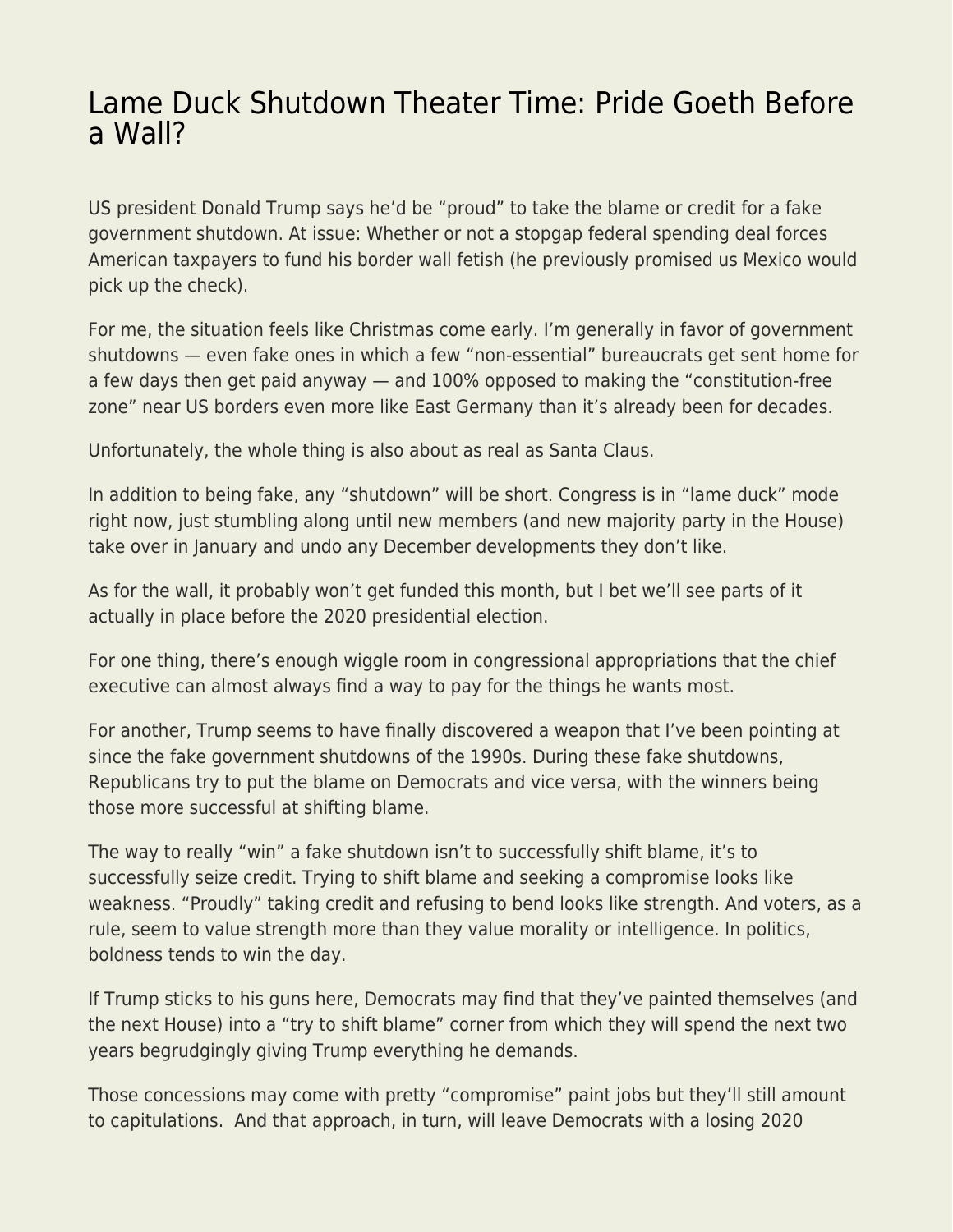## [Lame Duck Shutdown Theater Time: Pride Goeth Before](https://everything-voluntary.com/lame-duck-shutdown-theater-time-pride-goeth-before-a-wall) [a Wall?](https://everything-voluntary.com/lame-duck-shutdown-theater-time-pride-goeth-before-a-wall)

US president Donald Trump says he'd be "proud" to take the blame or credit for a fake government shutdown. At issue: Whether or not a stopgap federal spending deal forces American taxpayers to fund his border wall fetish (he previously promised us Mexico would pick up the check).

For me, the situation feels like Christmas come early. I'm generally in favor of government shutdowns — even fake ones in which a few "non-essential" bureaucrats get sent home for a few days then get paid anyway — and 100% opposed to making the "constitution-free zone" near US borders even more like East Germany than it's already been for decades.

Unfortunately, the whole thing is also about as real as Santa Claus.

In addition to being fake, any "shutdown" will be short. Congress is in "lame duck" mode right now, just stumbling along until new members (and new majority party in the House) take over in January and undo any December developments they don't like.

As for the wall, it probably won't get funded this month, but I bet we'll see parts of it actually in place before the 2020 presidential election.

For one thing, there's enough wiggle room in congressional appropriations that the chief executive can almost always find a way to pay for the things he wants most.

For another, Trump seems to have finally discovered a weapon that I've been pointing at since the fake government shutdowns of the 1990s. During these fake shutdowns, Republicans try to put the blame on Democrats and vice versa, with the winners being those more successful at shifting blame.

The way to really "win" a fake shutdown isn't to successfully shift blame, it's to successfully seize credit. Trying to shift blame and seeking a compromise looks like weakness. "Proudly" taking credit and refusing to bend looks like strength. And voters, as a rule, seem to value strength more than they value morality or intelligence. In politics, boldness tends to win the day.

If Trump sticks to his guns here, Democrats may find that they've painted themselves (and the next House) into a "try to shift blame" corner from which they will spend the next two years begrudgingly giving Trump everything he demands.

Those concessions may come with pretty "compromise" paint jobs but they'll still amount to capitulations. And that approach, in turn, will leave Democrats with a losing 2020